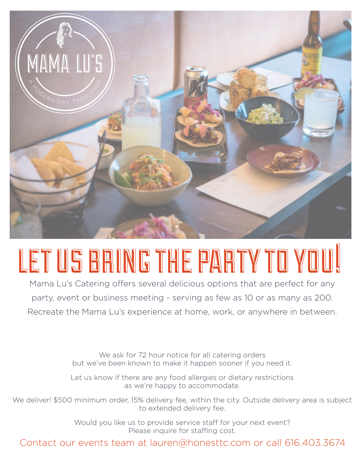

# LET US BRING THE PARTY TO YOU!

Mama Lu's Catering offers several delicious options that are perfect for any party, event or business meeting - serving as few as 10 or as many as 200. Recreate the Mama Lu's experience at home, work, or anywhere in between.

> We ask for 72 hour notice for all catering orders but we've been known to make it happen sooner if you need it.

> Let us know if there are any food allergies or dietary restrictions as we're happy to accommodate.

We deliver! \$500 minimum order, 15% delivery fee, within the city. Outside delivery area is subject to extended delivery fee.

> Would you like us to provide service staff for your next event? Please inquire for staffing cost.

Contact our events team at lauren@honesttc.com or call 616.403.3674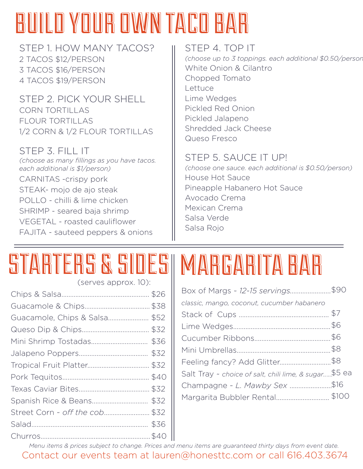## BUILD YOUR OWN TACO BAR

STEP 1. HOW MANY TACOS? 2 TACOS \$12/PERSON 3 TACOS \$16/PERSON 4 TACOS \$19/PERSON

STEP 2. PICK YOUR SHELL CORN TORTILLAS FLOUR TORTILLAS 1/2 CORN & 1/2 FLOUR TORTILLAS

### STEP 3. FILL IT

*(choose as many fillings as you have tacos. each additional is \$1/person)* CARNITAS -crispy pork STEAK- mojo de ajo steak POLLO - chilli & lime chicken SHRIMP - seared baja shrimp VEGETAL - roasted cauliflower FAJITA - sauteed peppers & onions

### STEP 4. TOP IT

*(choose up to 3 toppings. each additional \$0.50/person)* White Onion & Cilantro Chopped Tomato Lettuce Lime Wedges Pickled Red Onion Pickled Jalapeno Shredded Jack Cheese Queso Fresco

### STEP 5. SAUCE IT UP!

*(choose one sauce. each additional is \$0.50/person)*  House Hot Sauce Pineapple Habanero Hot Sauce Avocado Crema Mexican Crema Salsa Verde Salsa Rojo

# STARTERS & SIDES MARGARITA BAR

(serves approx. 10):

| Guacamole, Chips & Salsa \$52  |      |
|--------------------------------|------|
|                                |      |
|                                |      |
|                                |      |
|                                | \$32 |
|                                |      |
|                                |      |
|                                | \$32 |
| Street Corn - off the cob \$32 |      |
|                                |      |
|                                |      |
|                                |      |

| Box of Margs ~ 12-15 servings\$90                     |  |
|-------------------------------------------------------|--|
| classic, mango, coconut, cucumber habanero            |  |
|                                                       |  |
|                                                       |  |
|                                                       |  |
|                                                       |  |
|                                                       |  |
| Salt Tray ~ choice of salt, chili lime, & sugar\$5 ea |  |
| Champagne ~ L. Mawby Sex \$16                         |  |
| Margarita Bubbler Rental \$100                        |  |

Contact our events team at lauren@honesttc.com or call 616.403.3674 *Menu items & prices subject to change. Prices and menu items are guaranteed thirty days from event date.*